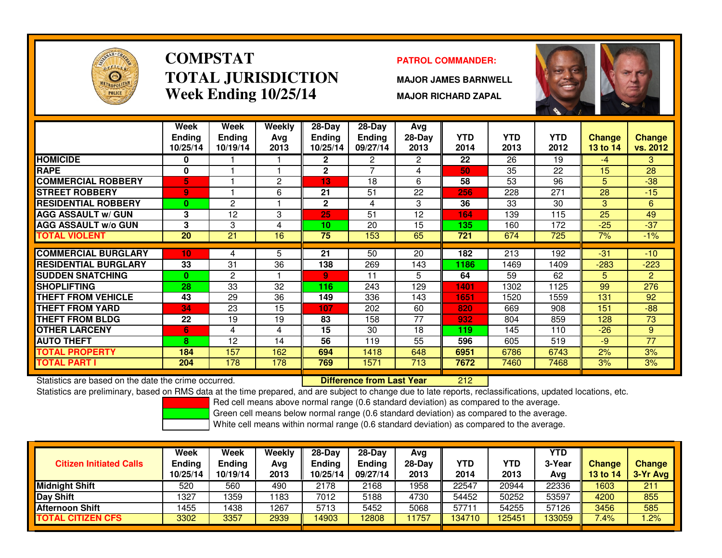

# **COMPSTATTOTAL JURISDICTIONWeek Ending 10/25/14**

### **PATROL COMMANDER:**

**MAJOR JAMES BARNWELL**

**MAJOR RICHARD ZAPAL**



|                             | Week            | <b>Week</b>     | Weekly | $28-Day$        | $28 - Day$     | <b>Avg</b>   |            |            |                  |               |                 |
|-----------------------------|-----------------|-----------------|--------|-----------------|----------------|--------------|------------|------------|------------------|---------------|-----------------|
|                             | <b>Ending</b>   | <b>Ending</b>   | Avg    | <b>Ending</b>   | <b>Ending</b>  | $28-Day$     | <b>YTD</b> | <b>YTD</b> | <b>YTD</b>       | <b>Change</b> | <b>Change</b>   |
|                             | 10/25/14        | 10/19/14        | 2013   | 10/25/14        | 09/27/14       | 2013         | 2014       | 2013       | 2012             | 13 to 14      | vs. 2012        |
| <b>HOMICIDE</b>             | 0               |                 |        | 2               | 2              | $\mathbf{2}$ | 22         | 26         | 19               | $-4$          | $3^{\circ}$     |
| <b>RAPE</b>                 | 0               |                 |        | $\mathbf{2}$    | $\overline{ }$ | 4            | 50         | 35         | 22               | 15            | 28              |
| <b>COMMERCIAL ROBBERY</b>   | 5.              |                 | 2      | 13              | 18             | 6            | 58         | 53         | 96               | 5             | $-38$           |
| <b>STREET ROBBERY</b>       | 9.              |                 | 6      | 21              | 51             | 22           | 256        | 228        | 271              | 28            | $-15$           |
| <b>RESIDENTIAL ROBBERY</b>  | $\mathbf{0}$    | 2               |        | $\mathbf{2}$    | 4              | 3            | 36         | 33         | 30               | 3             | 6               |
| <b>AGG ASSAULT w/ GUN</b>   | 3               | 12              | 3      | 25              | 51             | 12           | 164        | 139        | 115              | 25            | 49              |
| <b>AGG ASSAULT w/o GUN</b>  | 3               | 3               | 4      | 10              | 20             | 15           | 135        | 160        | $\overline{172}$ | $-25$         | $-37$           |
| <b>TOTAL VIOLENT</b>        | 20              | $\overline{21}$ | 16     | $\overline{75}$ | 153            | 65           | 721        | 674        | 725              | 7%            | $-1\%$          |
|                             |                 |                 |        |                 |                |              |            |            |                  |               |                 |
| <b>COMMERCIAL BURGLARY</b>  | 10 <sub>1</sub> | 4               | 5      | 21              | 50             | 20           | 182        | 213        | 192              | $-31$         | $-10$           |
| <b>RESIDENTIAL BURGLARY</b> | 33              | 31              | 36     | 138             | 269            | 143          | 1186       | 1469       | 1409             | $-283$        | $-223$          |
| <b>SUDDEN SNATCHING</b>     | 0               | $\overline{2}$  |        | 9               | 11             | 5            | 64         | 59         | 62               | 5             | $\overline{2}$  |
| <b>SHOPLIFTING</b>          | 28              | 33              | 32     | 116             | 243            | 129          | 1401       | 1302       | 1125             | 99            | 276             |
| <b>THEFT FROM VEHICLE</b>   | 43              | 29              | 36     | 149             | 336            | 143          | 1651       | 1520       | 1559             | 131           | 92              |
| <b>THEFT FROM YARD</b>      | 34              | 23              | 15     | 107             | 202            | 60           | 820        | 669        | 908              | 151           | $-88$           |
| <b>THEFT FROM BLDG</b>      | 22              | 19              | 19     | 83              | 158            | 77           | 932        | 804        | 859              | 128           | 73              |
| <b>OTHER LARCENY</b>        | 6               | 4               | 4      | 15              | 30             | 18           | 119        | 145        | 110              | $-26$         | 9               |
| <b>AUTO THEFT</b>           | 8               | 12              | 14     | 56              | 119            | 55           | 596        | 605        | 519              | $-9$          | $\overline{77}$ |
| <b>TOTAL PROPERTY</b>       | 184             | 157             | 162    | 694             | 1418           | 648          | 6951       | 6786       | 6743             | 2%            | 3%              |
| <b>TOTAL PART I</b>         | 204             | 178             | 178    | 769             | 1571           | 713          | 7672       | 7460       | 7468             | 3%            | 3%              |

Statistics are based on the date the crime occurred. **Difference from Last Year** 

<sup>212</sup>

Statistics are preliminary, based on RMS data at the time prepared, and are subject to change due to late reports, reclassifications, updated locations, etc.

Red cell means above normal range (0.6 standard deviation) as compared to the average.

Green cell means below normal range (0.6 standard deviation) as compared to the average.

| <b>Citizen Initiated Calls</b> | Week<br><b>Ending</b><br>10/25/14 | <b>Week</b><br>Ending<br>10/19/14 | Weekly<br>Avg<br>2013 | $28$ -Day<br>Ending<br>10/25/14 | $28-Dav$<br><b>Ending</b><br>09/27/14 | Avg<br>$28-Dav$<br>2013 | YTD<br>2014 | YTD<br>2013 | <b>YTD</b><br>3-Year<br>Avg | <b>Change</b><br><b>13 to 14</b> | <b>Change</b><br>3-Yr Avg |
|--------------------------------|-----------------------------------|-----------------------------------|-----------------------|---------------------------------|---------------------------------------|-------------------------|-------------|-------------|-----------------------------|----------------------------------|---------------------------|
| <b>Midnight Shift</b>          | 520                               | 560                               | 490                   | 2178                            | 2168                                  | 1958                    | 22547       | 20944       | 22336                       | 1603                             | 211                       |
| Day Shift                      | 1327                              | 1359                              | 183                   | 7012                            | 5188                                  | 4730                    | 54452       | 50252       | 53597                       | 4200                             | 855                       |
| <b>Afternoon Shift</b>         | 1455                              | 1438                              | 1267                  | 5713                            | 5452                                  | 5068                    | 57711       | 54255       | 57126                       | 3456                             | 585                       |
| <b>TOTAL CITIZEN CFS</b>       | 3302                              | 3357                              | 2939                  | 14903                           | 12808                                 | 1757                    | 34710       | 125451      | <b>33059</b>                | 7.4%                             | .2%                       |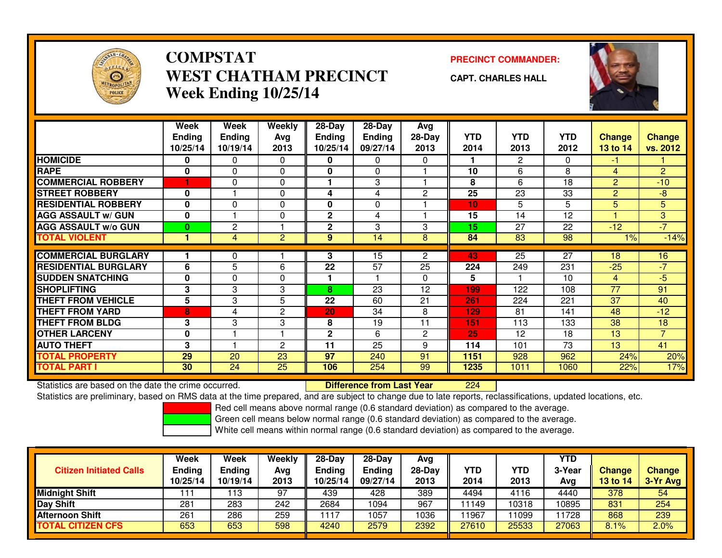

# **COMPSTATWEST CHATHAM PRECINCTWeek Ending 10/25/14**

**PRECINCT COMMANDER:**

**CAPT. CHARLES HALL**



|                             | Week<br><b>Ending</b><br>10/25/14 | Week<br><b>Ending</b><br>10/19/14 | Weekly<br>Avg<br>2013 | $28-Day$<br><b>Ending</b><br>10/25/14 | 28-Day<br><b>Ending</b><br>09/27/14 | <b>Avg</b><br>28-Day<br>2013 | <b>YTD</b><br>2014 | <b>YTD</b><br>2013 | <b>YTD</b><br>2012 | <b>Change</b><br>13 to 14 | <b>Change</b><br>vs. 2012 |
|-----------------------------|-----------------------------------|-----------------------------------|-----------------------|---------------------------------------|-------------------------------------|------------------------------|--------------------|--------------------|--------------------|---------------------------|---------------------------|
| <b>HOMICIDE</b>             | 0                                 | 0                                 | 0                     | 0                                     | 0                                   | $\Omega$                     |                    | $\mathbf{2}$       | 0                  | -1                        |                           |
| <b>RAPE</b>                 | 0                                 | 0                                 | $\mathbf{0}$          | 0                                     | $\Omega$                            |                              | 10                 | 6                  | 8                  | 4                         | $\overline{2}$            |
| <b>COMMERCIAL ROBBERY</b>   |                                   | 0                                 | $\mathbf{0}$          |                                       | 3                                   |                              | 8                  | 6                  | 18                 | 2                         | $-10$                     |
| <b>STREET ROBBERY</b>       | 0                                 |                                   | $\mathbf 0$           | 4                                     | 4                                   | $\overline{2}$               | 25                 | 23                 | 33                 | 2                         | $-8$                      |
| <b>RESIDENTIAL ROBBERY</b>  | $\bf{0}$                          | 0                                 | $\Omega$              | $\bf{0}$                              | $\Omega$                            |                              | 10                 | 5                  | 5                  | 5                         | 5                         |
| <b>AGG ASSAULT w/ GUN</b>   | 0                                 |                                   | $\mathbf{0}$          | $\mathbf{2}$                          | 4                                   |                              | 15                 | 14                 | 12                 |                           | 3                         |
| <b>AGG ASSAULT w/o GUN</b>  | $\bf{0}$                          | 2                                 |                       | $\mathbf{2}$                          | 3                                   | 3                            | 15                 | 27                 | 22                 | $-12$                     | $-7$                      |
| <b>TOTAL VIOLENT</b>        | 1                                 | 4                                 | 2                     | 9                                     | 14                                  | 8                            | 84                 | 83                 | 98                 | 1%                        | $-14%$                    |
|                             |                                   |                                   |                       |                                       |                                     |                              |                    |                    |                    |                           |                           |
| <b>COMMERCIAL BURGLARY</b>  |                                   | 0                                 |                       | 3                                     | 15                                  | $\overline{2}$               | 43                 | 25                 | 27                 | 18                        | 16                        |
| <b>RESIDENTIAL BURGLARY</b> | 6                                 | 5                                 | 6                     | 22                                    | $\overline{57}$                     | 25                           | 224                | 249                | 231                | $-25$                     | $-7$                      |
| <b>SUDDEN SNATCHING</b>     | 0                                 | 0                                 | $\mathbf 0$           |                                       |                                     | $\Omega$                     | 5                  |                    | 10                 | 4                         | $-5$                      |
| <b>SHOPLIFTING</b>          | 3                                 | 3                                 | 3                     | 8                                     | 23                                  | 12                           | 199                | 122                | 108                | 77                        | 91                        |
| <b>THEFT FROM VEHICLE</b>   | 5                                 | 3                                 | 5                     | 22                                    | 60                                  | 21                           | 261                | 224                | 221                | 37                        | 40                        |
| <b>THEFT FROM YARD</b>      | 8                                 | 4                                 | 2                     | 20                                    | 34                                  | 8                            | 129                | 81                 | 141                | 48                        | $-12$                     |
| <b>THEFT FROM BLDG</b>      | 3                                 | 3                                 | 3                     | 8                                     | 19                                  | 11                           | 151                | 113                | 133                | 38                        | 18                        |
| <b>OTHER LARCENY</b>        | 0                                 |                                   |                       | $\mathbf 2$                           | 6                                   | $\overline{2}$               | 25                 | 12                 | 18                 | 13                        | $\overline{7}$            |
| <b>AUTO THEFT</b>           | 3                                 |                                   | 2                     | 11                                    | 25                                  | 9                            | 114                | 101                | 73                 | 13                        | 41                        |
| <b>TOTAL PROPERTY</b>       | 29                                | 20                                | 23                    | 97                                    | 240                                 | 91                           | 1151               | 928                | 962                | 24%                       | 20%                       |
| TOTAL PART I                | 30                                | 24                                | 25                    | 106                                   | 254                                 | 99                           | 1235               | 1011               | 1060               | 22%                       | 17%                       |

Statistics are based on the date the crime occurred. **Difference from Last Year** 

<sup>224</sup>

Statistics are preliminary, based on RMS data at the time prepared, and are subject to change due to late reports, reclassifications, updated locations, etc.

Red cell means above normal range (0.6 standard deviation) as compared to the average.

Green cell means below normal range (0.6 standard deviation) as compared to the average.

| <b>Citizen Initiated Calls</b> | Week<br><b>Ending</b><br>10/25/14 | Week<br><b>Ending</b><br>10/19/14 | Weekly<br>Avg<br>2013 | $28-Day$<br><b>Ending</b><br>10/25/14 | $28-Day$<br><b>Ending</b><br>09/27/14 | Avg<br>28-Day<br>2013 | YTD<br>2014 | YTD<br>2013 | <b>YTD</b><br>3-Year<br>Avg | <b>Change</b><br><b>13 to 14</b> | <b>Change</b><br>3-Yr Avg |
|--------------------------------|-----------------------------------|-----------------------------------|-----------------------|---------------------------------------|---------------------------------------|-----------------------|-------------|-------------|-----------------------------|----------------------------------|---------------------------|
| <b>Midnight Shift</b>          | '1                                | 13                                | 97                    | 439                                   | 428                                   | 389                   | 4494        | 4116        | 4440                        | 378                              | 54                        |
| Day Shift                      | 281                               | 283                               | 242                   | 2684                                  | 1094                                  | 967                   | 11149       | 10318       | 10895                       | 831                              | 254                       |
| <b>Afternoon Shift</b>         | 261                               | 286                               | 259                   | 1117                                  | 1057                                  | 1036                  | 1967        | 11099       | 1728                        | 868                              | 239                       |
| <b>TOTAL CITIZEN CFS</b>       | 653                               | 653                               | 598                   | 4240                                  | 2579                                  | 2392                  | 27610       | 25533       | 27063                       | 8.1%                             | 2.0%                      |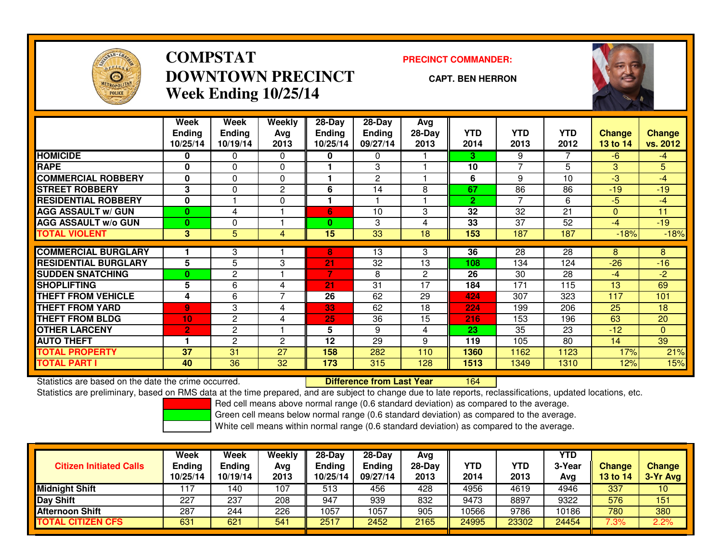

# **COMPSTATDOWNTOWN PRECINCTWeek Ending 10/25/14**

### **PRECINCT COMMANDER:**

#### **CAPT. BEN HERRON**

<sup>164</sup>



|                             | Week           | Week           | <b>Weekly</b> | $28-Day$      | $28$ -Day       | Avg            |              |                 |                 |                 |               |
|-----------------------------|----------------|----------------|---------------|---------------|-----------------|----------------|--------------|-----------------|-----------------|-----------------|---------------|
|                             | <b>Ending</b>  | <b>Ending</b>  | Avg           | <b>Ending</b> | <b>Ending</b>   | $28-Day$       | <b>YTD</b>   | <b>YTD</b>      | <b>YTD</b>      | <b>Change</b>   | <b>Change</b> |
|                             | 10/25/14       | 10/19/14       | 2013          | 10/25/14      | 09/27/14        | 2013           | 2014         | 2013            | 2012            | 13 to 14        | vs. 2012      |
| <b>HOMICIDE</b>             | 0              | 0              | 0             | 0             | 0               |                | 3.           | 9               |                 | $-6$            | $-4$          |
| <b>RAPE</b>                 | $\bf{0}$       | 0              | $\Omega$      |               | 3               |                | 10           | $\overline{7}$  | 5               | 3               | 5.            |
| <b>COMMERCIAL ROBBERY</b>   | $\bf{0}$       | $\Omega$       | $\Omega$      |               | 2               |                | 6            | 9               | 10              | $-3$            | $-4$          |
| <b>STREET ROBBERY</b>       | 3              | 0              | 2             | 6             | 14              | 8              | 67           | 86              | 86              | $-19$           | $-19$         |
| <b>RESIDENTIAL ROBBERY</b>  | $\bf{0}$       |                | $\Omega$      |               |                 |                | $\mathbf{2}$ |                 | 6               | $-5$            | $-4$          |
| <b>AGG ASSAULT w/ GUN</b>   | 0              | 4              |               | 6             | 10              | 3              | 32           | 32              | 21              | $\Omega$        | 11            |
| <b>AGG ASSAULT w/o GUN</b>  | 0              | 0              |               | 0             | 3               | 4              | 33           | 37              | 52              | $-4$            | $-19$         |
| <b>TOTAL VIOLENT</b>        | 3              | 5              | 4             | 15            | $\overline{33}$ | 18             | 153          | 187             | 187             | $-18%$          | $-18%$        |
|                             |                |                |               |               |                 |                |              |                 |                 |                 |               |
| <b>COMMERCIAL BURGLARY</b>  |                | 3              |               | 8             | 13              | 3              | 36           | $\overline{28}$ | $\overline{28}$ | 8               | 8             |
| <b>RESIDENTIAL BURGLARY</b> | 5              | 5              | 3             | 21            | 32              | 13             | 108          | 134             | 124             | $-26$           | $-16$         |
| <b>SUDDEN SNATCHING</b>     | 0              | $\mathbf{2}$   |               | 7             | 8               | $\overline{2}$ | 26           | 30              | 28              | $-4$            | $-2$          |
| <b>SHOPLIFTING</b>          | 5              | 6              | 4             | 21            | 31              | 17             | 184          | 171             | 115             | 13 <sup>5</sup> | 69            |
| <b>THEFT FROM VEHICLE</b>   | 4              | 6              | 7             | 26            | 62              | 29             | 424          | 307             | 323             | 117             | 101           |
| <b>THEFT FROM YARD</b>      | 9              | 3              | 4             | 33            | 62              | 18             | 224          | 199             | 206             | 25              | 18            |
| <b>THEFT FROM BLDG</b>      | 10             | $\overline{2}$ | 4             | 25            | 36              | 15             | 216          | 153             | 196             | 63              | 20            |
| <b>OTHER LARCENY</b>        | $\overline{2}$ | $\mathbf{2}$   |               | 5             | 9               | 4              | 23           | 35              | 23              | $-12$           | $\Omega$      |
| <b>AUTO THEFT</b>           |                | $\overline{2}$ | 2             | 12            | 29              | 9              | 119          | 105             | 80              | 14              | 39            |
| <b>TOTAL PROPERTY</b>       | 37             | 31             | 27            | 158           | 282             | 110            | 1360         | 1162            | 1123            | 17%             | 21%           |
| <b>TOTAL PART I</b>         | 40             | 36             | 32            | 173           | 315             | 128            | 1513         | 1349            | 1310            | 12%             | 15%           |

Statistics are based on the date the crime occurred. **Difference from Last Year** 

Statistics are preliminary, based on RMS data at the time prepared, and are subject to change due to late reports, reclassifications, updated locations, etc.

Red cell means above normal range (0.6 standard deviation) as compared to the average.

Green cell means below normal range (0.6 standard deviation) as compared to the average.

| <b>Citizen Initiated Calls</b> | Week<br><b>Ending</b><br>10/25/14 | Week<br>Ending<br>10/19/14 | Weekly<br>Avg<br>2013 | $28-Day$<br><b>Ending</b><br>10/25/14 | 28-Day<br><b>Ending</b><br>09/27/14 | Avg<br>28-Day<br>2013 | YTD<br>2014 | YTD<br>2013 | YTD<br>3-Year<br>Avg | <b>Change</b><br><b>13 to 14</b> | <b>Change</b><br>3-Yr Avg |
|--------------------------------|-----------------------------------|----------------------------|-----------------------|---------------------------------------|-------------------------------------|-----------------------|-------------|-------------|----------------------|----------------------------------|---------------------------|
| <b>Midnight Shift</b>          |                                   | 140                        | 107                   | 513                                   | 456                                 | 428                   | 4956        | 4619        | 4946                 | 337                              | 10                        |
| <b>Day Shift</b>               | 227                               | 237                        | 208                   | 947                                   | 939                                 | 832                   | 9473        | 8897        | 9322                 | 576                              | 151                       |
| Afternoon Shift                | 287                               | 244                        | 226                   | 1057                                  | 1057                                | 905                   | 10566       | 9786        | 10186                | 780                              | 380                       |
| <b>TOTAL CITIZEN CFS</b>       | 631                               | 621                        | 541                   | 2517                                  | 2452                                | 2165                  | 24995       | 23302       | 24454                | 7.3%                             | 2.2%                      |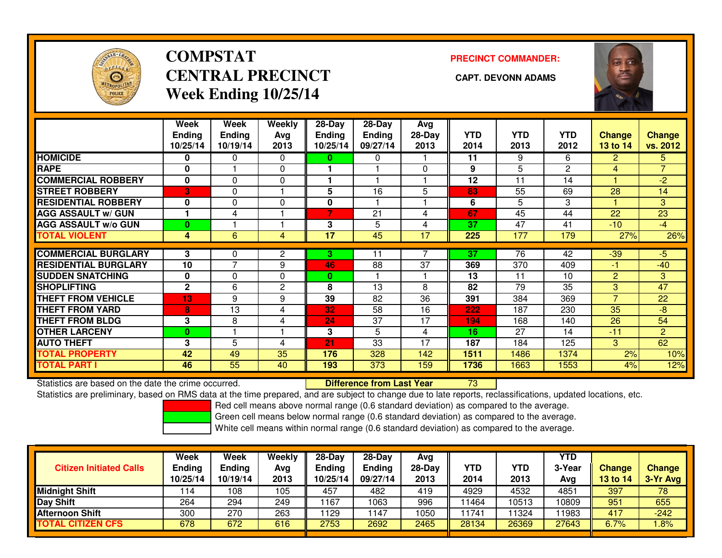

# **COMPSTATCENTRAL PRECINCT** CAPT. DEVONN ADAMS **Week Ending 10/25/14**

**PRECINCT COMMANDER:**



|                             | Week          | Week           | Weekly   | $28-Day$      | 28-Day        | Avg      |            |                 |              |                |                |
|-----------------------------|---------------|----------------|----------|---------------|---------------|----------|------------|-----------------|--------------|----------------|----------------|
|                             | <b>Ending</b> | <b>Ending</b>  | Avg      | <b>Ending</b> | <b>Ending</b> | 28-Day   | <b>YTD</b> | <b>YTD</b>      | <b>YTD</b>   | <b>Change</b>  | <b>Change</b>  |
|                             | 10/25/14      | 10/19/14       | 2013     | 10/25/14      | 09/27/14      | 2013     | 2014       | 2013            | 2012         | 13 to 14       | vs. 2012       |
| <b>HOMICIDE</b>             | 0             | 0              | 0        | 0             | 0             |          | 11         | 9               | 6            | $\overline{2}$ | 5.             |
| <b>RAPE</b>                 | 0             |                | $\Omega$ |               |               | $\Omega$ | 9          | 5               | $\mathbf{2}$ | 4              | $\overline{7}$ |
| <b>COMMERCIAL ROBBERY</b>   | 0             | $\Omega$       | 0        |               |               |          | 12         | 11              | 14           |                | $-2$           |
| <b>STREET ROBBERY</b>       | 3             | 0              |          | 5             | 16            | 5        | 83         | 55              | 69           | 28             | 14             |
| <b>RESIDENTIAL ROBBERY</b>  | $\bf{0}$      | $\Omega$       | $\Omega$ | 0             |               |          | 6          | 5               | 3            |                | 3              |
| <b>AGG ASSAULT w/ GUN</b>   |               | 4              |          | 7             | 21            | 4        | 67         | 45              | 44           | 22             | 23             |
| <b>AGG ASSAULT w/o GUN</b>  | $\bf{0}$      |                |          | 3             | 5             | 4        | 37         | 47              | 41           | $-10$          | $-4$           |
| <b>TOTAL VIOLENT</b>        | 4             | 6              | 4        | 17            | 45            | 17       | 225        | 177             | 179          | 27%            | 26%            |
|                             |               |                |          |               |               |          |            |                 |              |                |                |
| <b>COMMERCIAL BURGLARY</b>  | 3             | 0              | 2        | 3.            | 11            |          | 37         | 76              | 42           | $-39$          | $-5$           |
| <b>RESIDENTIAL BURGLARY</b> | 10            | $\overline{7}$ | 9        | 46            | 88            | 37       | 369        | 370             | 409          | $-1$           | $-40$          |
| <b>SUDDEN SNATCHING</b>     | 0             | $\Omega$       | $\Omega$ | $\bf{0}$      |               |          | 13         | 11              | 10           | $\overline{2}$ | 3              |
| <b>SHOPLIFTING</b>          | $\mathbf{2}$  | 6              | 2        | 8             | 13            | 8        | 82         | $\overline{79}$ | 35           | 3              | 47             |
| <b>THEFT FROM VEHICLE</b>   | 13            | 9              | 9        | 39            | 82            | 36       | 391        | 384             | 369          | $\overline{7}$ | 22             |
| <b>THEFT FROM YARD</b>      | 8             | 13             | 4        | 32            | 58            | 16       | 222        | 187             | 230          | 35             | $-8$           |
| <b>THEFT FROM BLDG</b>      | 3             | 8              | 4        | 24            | 37            | 17       | 194        | 168             | 140          | 26             | 54             |
| <b>OTHER LARCENY</b>        | 0             |                |          | 3             | 5             | 4        | 16         | 27              | 14           | $-11$          | $\overline{2}$ |
| <b>AUTO THEFT</b>           | 3             | 5              | 4        | 21            | 33            | 17       | 187        | 184             | 125          | 3              | 62             |
| <b>TOTAL PROPERTY</b>       | 42            | 49             | 35       | 176           | 328           | 142      | 1511       | 1486            | 1374         | 2%             | 10%            |
| <b>TOTAL PART I</b>         | 46            | 55             | 40       | 193           | 373           | 159      | 1736       | 1663            | 1553         | 4%             | 12%            |

Statistics are based on the date the crime occurred. **Difference from Last Year** 

Statistics are based on the date the crime occurred.<br>Statistics are preliminary, based on RMS data at the time prepared, and are subject to change due to late reports, reclassifications, updated locations, etc.

Red cell means above normal range (0.6 standard deviation) as compared to the average.

Green cell means below normal range (0.6 standard deviation) as compared to the average.

| <b>Citizen Initiated Calls</b> | Week<br><b>Ending</b><br>10/25/14 | Week<br><b>Ending</b><br>10/19/14 | Weekly<br>Avg<br>2013 | 28-Day<br><b>Ending</b><br>10/25/14 | $28-Dav$<br><b>Ending</b><br>09/27/14 | Avg<br>28-Day<br>2013 | YTD<br>2014 | YTD<br>2013 | <b>YTD</b><br>3-Year<br>Ava | <b>Change</b><br>13 to 14 | <b>Change</b><br>3-Yr Avg |
|--------------------------------|-----------------------------------|-----------------------------------|-----------------------|-------------------------------------|---------------------------------------|-----------------------|-------------|-------------|-----------------------------|---------------------------|---------------------------|
| Midnight Shift                 | '14                               | 108                               | 105                   | 457                                 | 482                                   | 419                   | 4929        | 4532        | 4851                        | 397                       | 78                        |
| Day Shift                      | 264                               | 294                               | 249                   | 1167                                | 1063                                  | 996                   | 11464       | 10513       | 10809                       | 951                       | 655                       |
| <b>Afternoon Shift</b>         | 300                               | 270                               | 263                   | 1129                                | 147                                   | 1050                  | 1741        | 1324        | 11983                       | 417                       | $-242$                    |
| <b>TOTAL CITIZEN CFS</b>       | 678                               | 672                               | 616                   | 2753                                | 2692                                  | 2465                  | 28134       | 26369       | 27643                       | 6.7%                      | $.8\%$                    |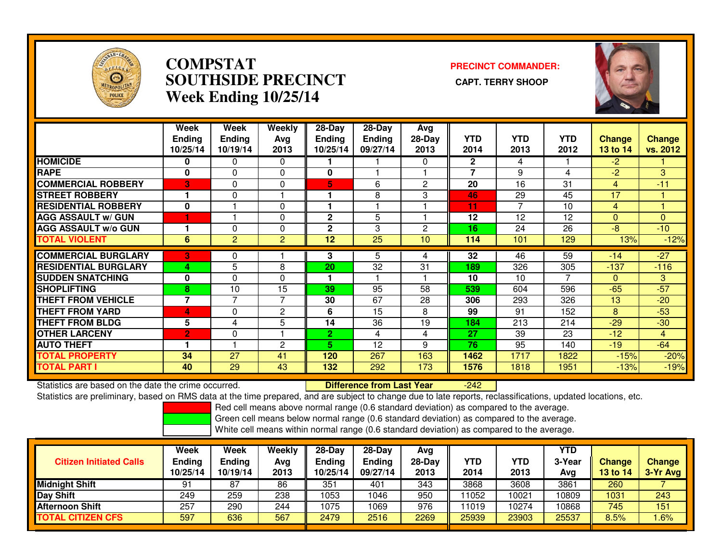

## **COMPSTAT PRECINCT COMMANDER: SOUTHSIDE PRECINCT CAPT. TERRY SHOOPWeek Ending 10/25/14**



|                             | Week           | Week                     | Weekly         | $28 - Day$   | $28 - Day$    | Avg      |                |            |            |              |                |
|-----------------------------|----------------|--------------------------|----------------|--------------|---------------|----------|----------------|------------|------------|--------------|----------------|
|                             | <b>Ending</b>  | <b>Ending</b>            | Avg            | Ending       | <b>Ending</b> | 28-Day   | <b>YTD</b>     | <b>YTD</b> | <b>YTD</b> | Change       | <b>Change</b>  |
|                             | 10/25/14       | 10/19/14                 | 2013           | 10/25/14     | 09/27/14      | 2013     | 2014           | 2013       | 2012       | 13 to 14     | vs. 2012       |
| <b>HOMICIDE</b>             | 0              | 0                        | $\Omega$       |              |               | $\Omega$ | $\mathbf{2}$   | 4          |            | $-2$         |                |
| <b>RAPE</b>                 | 0              | $\Omega$                 | 0              | 0            |               |          | $\overline{7}$ | 9          | 4          | $-2$         | 3 <sup>1</sup> |
| <b>COMMERCIAL ROBBERY</b>   | 3              | 0                        | $\Omega$       | 5.           | 6             | 2        | 20             | 16         | 31         | 4            | $-11$          |
| <b>STREET ROBBERY</b>       |                | 0                        |                |              | 8             | 3        | 46             | 29         | 45         | 17           |                |
| <b>RESIDENTIAL ROBBERY</b>  | $\bf{0}$       |                          | $\Omega$       |              |               |          | 11             | 7          | 10         | 4            |                |
| <b>AGG ASSAULT w/ GUN</b>   |                |                          | 0              | $\mathbf{2}$ | 5             |          | 12             | 12         | 12         | $\mathbf{0}$ | $\mathbf{0}$   |
| <b>AGG ASSAULT w/o GUN</b>  |                | 0                        | $\Omega$       | $\mathbf{2}$ | 3             | 2        | 16             | 24         | 26         | $-8$         | $-10$          |
| <b>TOTAL VIOLENT</b>        | 6              | $\overline{2}$           | $\overline{c}$ | 12           | 25            | 10       | 114            | 101        | 129        | 13%          | $-12%$         |
| <b>COMMERCIAL BURGLARY</b>  | 3              | 0                        |                | 3            | 5             | 4        | 32             | 46         | 59         | $-14$        | $-27$          |
| <b>RESIDENTIAL BURGLARY</b> | 4              | 5                        | 8              | 20           | 32            | 31       | 189            | 326        | 305        | $-137$       | $-116$         |
| <b>SUDDEN SNATCHING</b>     | $\mathbf{0}$   | $\Omega$                 | $\Omega$       |              |               |          | 10             | 10         | 7          | $\Omega$     | 3 <sup>1</sup> |
| <b>SHOPLIFTING</b>          | 8              | 10                       | 15             | 39           | 95            | 58       | 539            | 604        | 596        | $-65$        | $-57$          |
| <b>THEFT FROM VEHICLE</b>   | $\overline{7}$ | $\overline{\phantom{a}}$ | 7              | 30           | 67            | 28       | 306            | 293        | 326        | 13           | $-20$          |
| <b>THEFT FROM YARD</b>      | 4              | 0                        | $\overline{c}$ | 6            | 15            | 8        | 99             | 91         | 152        | 8            | $-53$          |
| <b>THEFT FROM BLDG</b>      | 5              | 4                        | 5              | 14           | 36            | 19       | 184            | 213        | 214        | $-29$        | $-30$          |
| <b>OTHER LARCENY</b>        | $\overline{2}$ | $\Omega$                 |                | $\mathbf{2}$ | 4             | 4        | 27             | 39         | 23         | $-12$        | $\overline{4}$ |
| <b>AUTO THEFT</b>           |                |                          | $\overline{c}$ | 5.           | 12            | 9        | 76             | 95         | 140        | $-19$        | $-64$          |
| <b>TOTAL PROPERTY</b>       | 34             | 27                       | 41             | 120          | 267           | 163      | 1462           | 1717       | 1822       | $-15%$       | $-20%$         |
| <b>TOTAL PART I</b>         | 40             | 29                       | 43             | 132          | 292           | 173      | 1576           | 1818       | 1951       | $-13%$       | $-19%$         |

Statistics are based on the date the crime occurred. **Difference from Last Year** 

-242

Statistics are preliminary, based on RMS data at the time prepared, and are subject to change due to late reports, reclassifications, updated locations, etc.

Red cell means above normal range (0.6 standard deviation) as compared to the average.

Green cell means below normal range (0.6 standard deviation) as compared to the average.

| <b>Citizen Initiated Calls</b> | Week<br><b>Ending</b><br>10/25/14 | Week<br><b>Ending</b><br>10/19/14 | Weekly<br>Avg<br>2013 | $28-Dav$<br>Ending<br>10/25/14 | 28-Day<br><b>Ending</b><br>09/27/14 | Avg<br>$28-Day$<br>2013 | YTD<br>2014 | YTD<br>2013 | <b>YTD</b><br>3-Year<br>Avg | <b>Change</b><br>13 to 14 | <b>Change</b><br>3-Yr Avg |
|--------------------------------|-----------------------------------|-----------------------------------|-----------------------|--------------------------------|-------------------------------------|-------------------------|-------------|-------------|-----------------------------|---------------------------|---------------------------|
| Midnight Shift                 | 91                                | 87                                | 86                    | 351                            | 401                                 | 343                     | 3868        | 3608        | 3861                        | 260                       |                           |
| Day Shift                      | 249                               | 259                               | 238                   | 1053                           | 1046                                | 950                     | 11052       | 10021       | 10809                       | 1031                      | 243                       |
| <b>Afternoon Shift</b>         | 257                               | 290                               | 244                   | 1075                           | 1069                                | 976                     | 11019       | 10274       | 10868                       | 745                       | 151                       |
| <b>TOTAL CITIZEN CFS</b>       | 597                               | 636                               | 567                   | 2479                           | 2516                                | 2269                    | 25939       | 23903       | 25537                       | 8.5%                      | .6%                       |
|                                |                                   |                                   |                       |                                |                                     |                         |             |             |                             |                           |                           |